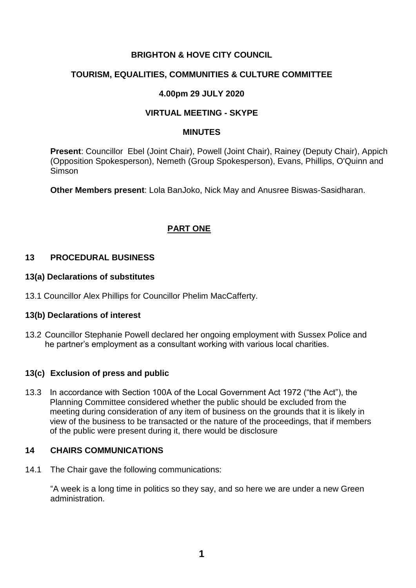# **BRIGHTON & HOVE CITY COUNCIL**

# **TOURISM, EQUALITIES, COMMUNITIES & CULTURE COMMITTEE**

## **4.00pm 29 JULY 2020**

### **VIRTUAL MEETING - SKYPE**

#### **MINUTES**

**Present**: Councillor Ebel (Joint Chair), Powell (Joint Chair), Rainey (Deputy Chair), Appich (Opposition Spokesperson), Nemeth (Group Spokesperson), Evans, Phillips, O'Quinn and Simson

**Other Members present**: Lola BanJoko, Nick May and Anusree Biswas-Sasidharan.

# **PART ONE**

### **13 PROCEDURAL BUSINESS**

#### **13(a) Declarations of substitutes**

13.1 Councillor Alex Phillips for Councillor Phelim MacCafferty.

### **13(b) Declarations of interest**

13.2 Councillor Stephanie Powell declared her ongoing employment with Sussex Police and he partner's employment as a consultant working with various local charities.

### **13(c) Exclusion of press and public**

13.3 In accordance with Section 100A of the Local Government Act 1972 ("the Act"), the Planning Committee considered whether the public should be excluded from the meeting during consideration of any item of business on the grounds that it is likely in view of the business to be transacted or the nature of the proceedings, that if members of the public were present during it, there would be disclosure

### **14 CHAIRS COMMUNICATIONS**

14.1 The Chair gave the following communications:

"A week is a long time in politics so they say, and so here we are under a new Green administration.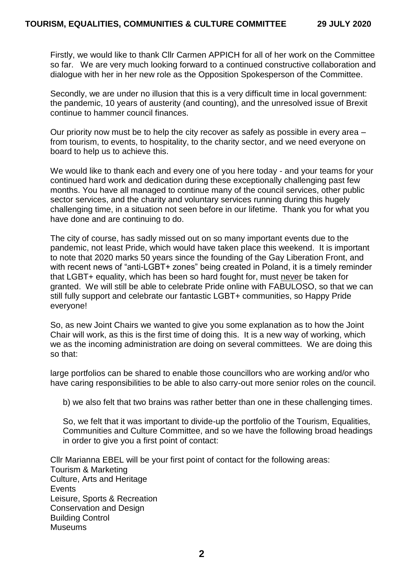Firstly, we would like to thank Cllr Carmen APPICH for all of her work on the Committee so far. We are very much looking forward to a continued constructive collaboration and dialogue with her in her new role as the Opposition Spokesperson of the Committee.

Secondly, we are under no illusion that this is a very difficult time in local government: the pandemic, 10 years of austerity (and counting), and the unresolved issue of Brexit continue to hammer council finances.

Our priority now must be to help the city recover as safely as possible in every area – from tourism, to events, to hospitality, to the charity sector, and we need everyone on board to help us to achieve this.

We would like to thank each and every one of you here today - and your teams for your continued hard work and dedication during these exceptionally challenging past few months. You have all managed to continue many of the council services, other public sector services, and the charity and voluntary services running during this hugely challenging time, in a situation not seen before in our lifetime. Thank you for what you have done and are continuing to do.

The city of course, has sadly missed out on so many important events due to the pandemic, not least Pride, which would have taken place this weekend. It is important to note that 2020 marks 50 years since the founding of the Gay Liberation Front, and with recent news of "anti-LGBT+ zones" being created in Poland, it is a timely reminder that LGBT+ equality, which has been so hard fought for, must never be taken for granted. We will still be able to celebrate Pride online with FABULOSO, so that we can still fully support and celebrate our fantastic LGBT+ communities, so Happy Pride everyone!

So, as new Joint Chairs we wanted to give you some explanation as to how the Joint Chair will work, as this is the first time of doing this. It is a new way of working, which we as the incoming administration are doing on several committees. We are doing this so that:

large portfolios can be shared to enable those councillors who are working and/or who have caring responsibilities to be able to also carry-out more senior roles on the council.

b) we also felt that two brains was rather better than one in these challenging times.

So, we felt that it was important to divide-up the portfolio of the Tourism, Equalities, Communities and Culture Committee, and so we have the following broad headings in order to give you a first point of contact:

Cllr Marianna EBEL will be your first point of contact for the following areas: Tourism & Marketing Culture, Arts and Heritage **Events** Leisure, Sports & Recreation Conservation and Design Building Control Museums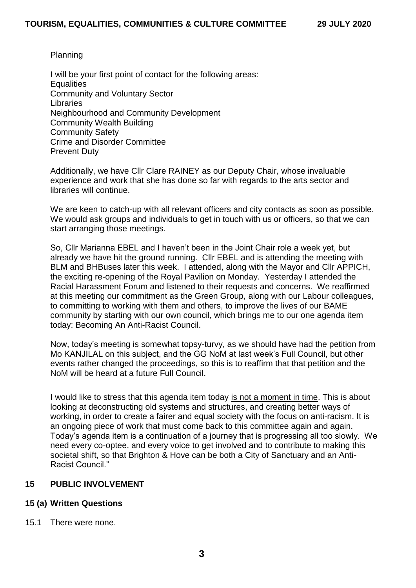#### Planning

I will be your first point of contact for the following areas: **Equalities** Community and Voluntary Sector **Libraries** Neighbourhood and Community Development Community Wealth Building Community Safety Crime and Disorder Committee Prevent Duty

Additionally, we have Cllr Clare RAINEY as our Deputy Chair, whose invaluable experience and work that she has done so far with regards to the arts sector and libraries will continue.

We are keen to catch-up with all relevant officers and city contacts as soon as possible. We would ask groups and individuals to get in touch with us or officers, so that we can start arranging those meetings.

So, Cllr Marianna EBEL and I haven't been in the Joint Chair role a week yet, but already we have hit the ground running. Cllr EBEL and is attending the meeting with BLM and BHBuses later this week. I attended, along with the Mayor and Cllr APPICH, the exciting re-opening of the Royal Pavilion on Monday. Yesterday I attended the Racial Harassment Forum and listened to their requests and concerns. We reaffirmed at this meeting our commitment as the Green Group, along with our Labour colleagues, to committing to working with them and others, to improve the lives of our BAME community by starting with our own council, which brings me to our one agenda item today: Becoming An Anti-Racist Council.

Now, today's meeting is somewhat topsy-turvy, as we should have had the petition from Mo KANJILAL on this subject, and the GG NoM at last week's Full Council, but other events rather changed the proceedings, so this is to reaffirm that that petition and the NoM will be heard at a future Full Council.

I would like to stress that this agenda item today is not a moment in time. This is about looking at deconstructing old systems and structures, and creating better ways of working, in order to create a fairer and equal society with the focus on anti-racism. It is an ongoing piece of work that must come back to this committee again and again. Today's agenda item is a continuation of a journey that is progressing all too slowly. We need every co-optee, and every voice to get involved and to contribute to making this societal shift, so that Brighton & Hove can be both a City of Sanctuary and an Anti-Racist Council."

### **15 PUBLIC INVOLVEMENT**

### **15 (a) Written Questions**

15.1 There were none.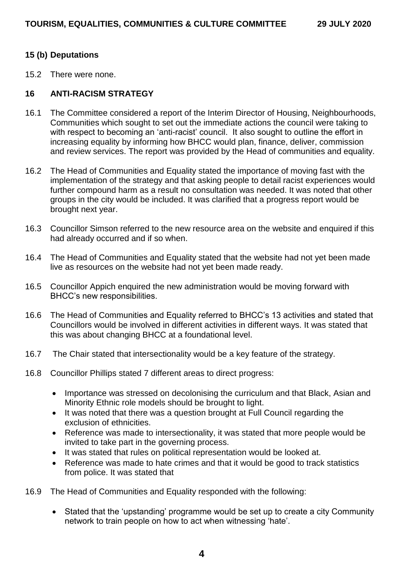### **15 (b) Deputations**

15.2 There were none.

## **16 ANTI-RACISM STRATEGY**

- 16.1 The Committee considered a report of the Interim Director of Housing, Neighbourhoods, Communities which sought to set out the immediate actions the council were taking to with respect to becoming an 'anti-racist' council. It also sought to outline the effort in increasing equality by informing how BHCC would plan, finance, deliver, commission and review services. The report was provided by the Head of communities and equality.
- 16.2 The Head of Communities and Equality stated the importance of moving fast with the implementation of the strategy and that asking people to detail racist experiences would further compound harm as a result no consultation was needed. It was noted that other groups in the city would be included. It was clarified that a progress report would be brought next year.
- 16.3 Councillor Simson referred to the new resource area on the website and enquired if this had already occurred and if so when.
- 16.4 The Head of Communities and Equality stated that the website had not yet been made live as resources on the website had not yet been made ready.
- 16.5 Councillor Appich enquired the new administration would be moving forward with BHCC's new responsibilities.
- 16.6 The Head of Communities and Equality referred to BHCC's 13 activities and stated that Councillors would be involved in different activities in different ways. It was stated that this was about changing BHCC at a foundational level.
- 16.7 The Chair stated that intersectionality would be a key feature of the strategy.
- 16.8 Councillor Phillips stated 7 different areas to direct progress:
	- Importance was stressed on decolonising the curriculum and that Black, Asian and Minority Ethnic role models should be brought to light.
	- It was noted that there was a question brought at Full Council regarding the exclusion of ethnicities.
	- Reference was made to intersectionality, it was stated that more people would be invited to take part in the governing process.
	- It was stated that rules on political representation would be looked at.
	- Reference was made to hate crimes and that it would be good to track statistics from police. It was stated that
- 16.9 The Head of Communities and Equality responded with the following:
	- Stated that the 'upstanding' programme would be set up to create a city Community network to train people on how to act when witnessing 'hate'.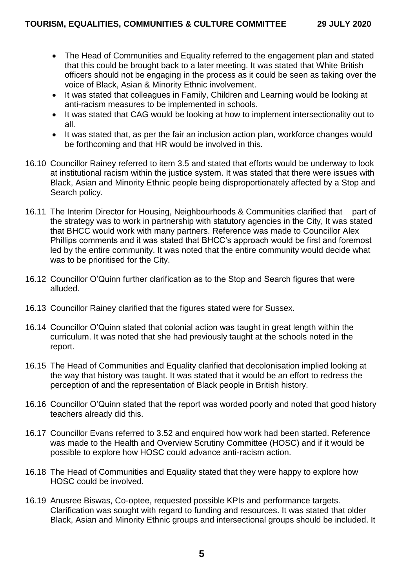- The Head of Communities and Equality referred to the engagement plan and stated that this could be brought back to a later meeting. It was stated that White British officers should not be engaging in the process as it could be seen as taking over the voice of Black, Asian & Minority Ethnic involvement.
- It was stated that colleagues in Family, Children and Learning would be looking at anti-racism measures to be implemented in schools.
- It was stated that CAG would be looking at how to implement intersectionality out to all.
- It was stated that, as per the fair an inclusion action plan, workforce changes would be forthcoming and that HR would be involved in this.
- 16.10 Councillor Rainey referred to item 3.5 and stated that efforts would be underway to look at institutional racism within the justice system. It was stated that there were issues with Black, Asian and Minority Ethnic people being disproportionately affected by a Stop and Search policy.
- 16.11 The Interim Director for Housing, Neighbourhoods & Communities clarified that part of the strategy was to work in partnership with statutory agencies in the City, It was stated that BHCC would work with many partners. Reference was made to Councillor Alex Phillips comments and it was stated that BHCC's approach would be first and foremost led by the entire community. It was noted that the entire community would decide what was to be prioritised for the City.
- 16.12 Councillor O'Quinn further clarification as to the Stop and Search figures that were alluded.
- 16.13 Councillor Rainey clarified that the figures stated were for Sussex.
- 16.14 Councillor O'Quinn stated that colonial action was taught in great length within the curriculum. It was noted that she had previously taught at the schools noted in the report.
- 16.15 The Head of Communities and Equality clarified that decolonisation implied looking at the way that history was taught. It was stated that it would be an effort to redress the perception of and the representation of Black people in British history.
- 16.16 Councillor O'Quinn stated that the report was worded poorly and noted that good history teachers already did this.
- 16.17 Councillor Evans referred to 3.52 and enquired how work had been started. Reference was made to the Health and Overview Scrutiny Committee (HOSC) and if it would be possible to explore how HOSC could advance anti-racism action.
- 16.18 The Head of Communities and Equality stated that they were happy to explore how HOSC could be involved.
- 16.19 Anusree Biswas, Co-optee, requested possible KPIs and performance targets. Clarification was sought with regard to funding and resources. It was stated that older Black, Asian and Minority Ethnic groups and intersectional groups should be included. It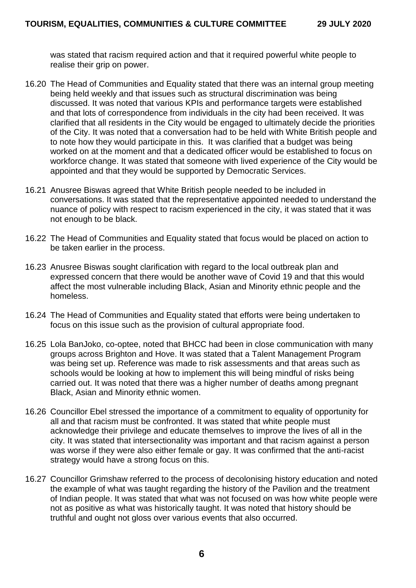was stated that racism required action and that it required powerful white people to realise their grip on power.

- 16.20 The Head of Communities and Equality stated that there was an internal group meeting being held weekly and that issues such as structural discrimination was being discussed. It was noted that various KPIs and performance targets were established and that lots of correspondence from individuals in the city had been received. It was clarified that all residents in the City would be engaged to ultimately decide the priorities of the City. It was noted that a conversation had to be held with White British people and to note how they would participate in this. It was clarified that a budget was being worked on at the moment and that a dedicated officer would be established to focus on workforce change. It was stated that someone with lived experience of the City would be appointed and that they would be supported by Democratic Services.
- 16.21 Anusree Biswas agreed that White British people needed to be included in conversations. It was stated that the representative appointed needed to understand the nuance of policy with respect to racism experienced in the city, it was stated that it was not enough to be black.
- 16.22 The Head of Communities and Equality stated that focus would be placed on action to be taken earlier in the process.
- 16.23 Anusree Biswas sought clarification with regard to the local outbreak plan and expressed concern that there would be another wave of Covid 19 and that this would affect the most vulnerable including Black, Asian and Minority ethnic people and the homeless.
- 16.24 The Head of Communities and Equality stated that efforts were being undertaken to focus on this issue such as the provision of cultural appropriate food.
- 16.25 Lola BanJoko, co-optee, noted that BHCC had been in close communication with many groups across Brighton and Hove. It was stated that a Talent Management Program was being set up. Reference was made to risk assessments and that areas such as schools would be looking at how to implement this will being mindful of risks being carried out. It was noted that there was a higher number of deaths among pregnant Black, Asian and Minority ethnic women.
- 16.26 Councillor Ebel stressed the importance of a commitment to equality of opportunity for all and that racism must be confronted. It was stated that white people must acknowledge their privilege and educate themselves to improve the lives of all in the city. It was stated that intersectionality was important and that racism against a person was worse if they were also either female or gay. It was confirmed that the anti-racist strategy would have a strong focus on this.
- 16.27 Councillor Grimshaw referred to the process of decolonising history education and noted the example of what was taught regarding the history of the Pavilion and the treatment of Indian people. It was stated that what was not focused on was how white people were not as positive as what was historically taught. It was noted that history should be truthful and ought not gloss over various events that also occurred.